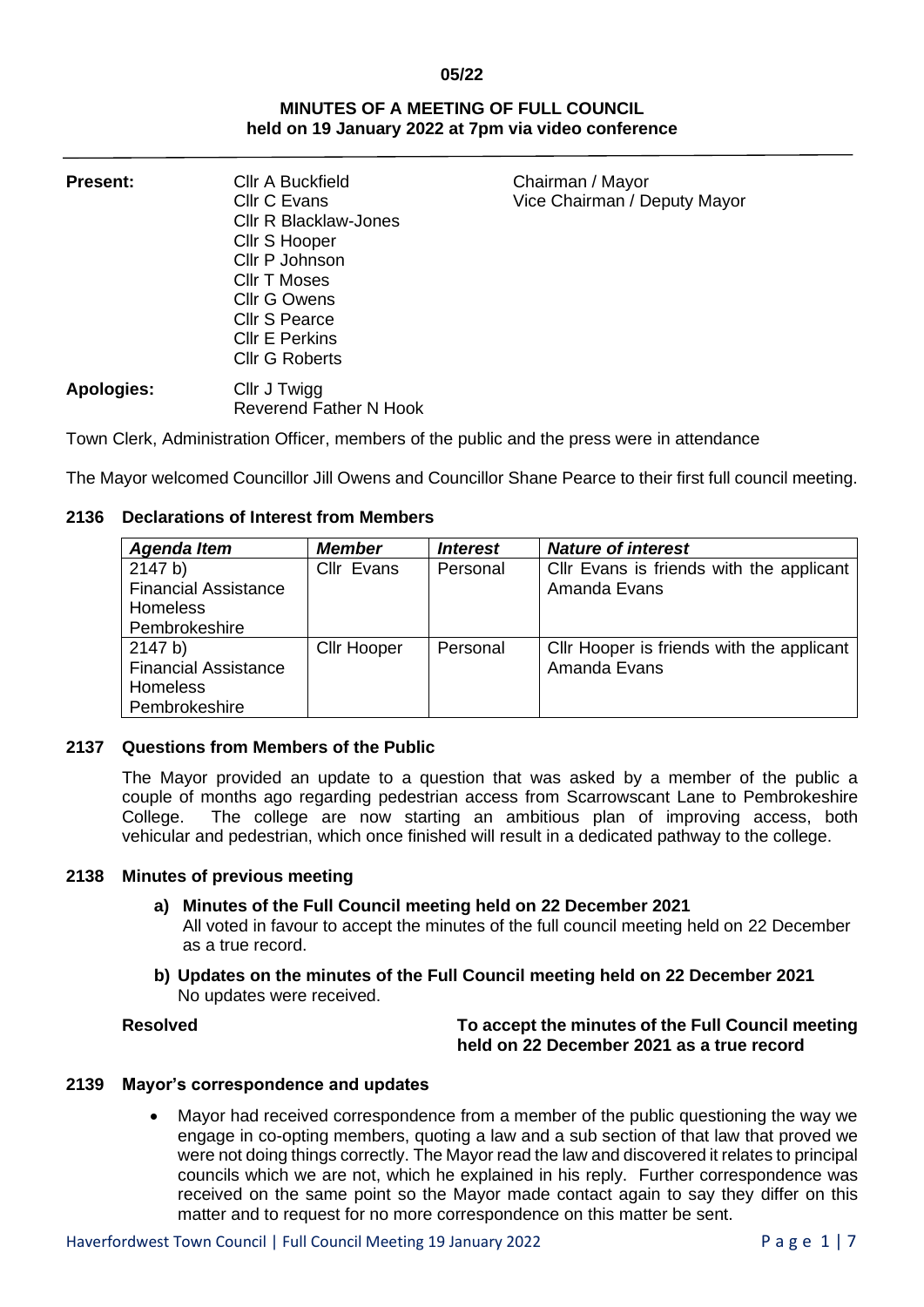#### **05/22**

## **MINUTES OF A MEETING OF FULL COUNCIL held on 19 January 2022 at 7pm via video conference**

| <b>Present:</b>   | <b>Cllr A Buckfield</b><br>Cllr C Evans<br><b>CIIr R Blacklaw-Jones</b><br>Cllr S Hooper<br>Cllr P Johnson<br><b>CIIr T Moses</b><br>Cllr G Owens | Chairman / Mayor<br>Vice Chairman / Deputy Mayor |
|-------------------|---------------------------------------------------------------------------------------------------------------------------------------------------|--------------------------------------------------|
|                   | <b>Cllr S Pearce</b><br><b>CIIr E Perkins</b><br><b>Cllr G Roberts</b>                                                                            |                                                  |
| <b>Apologies:</b> | Cllr J Twigg<br>Reverend Father N Hook                                                                                                            |                                                  |

Town Clerk, Administration Officer, members of the public and the press were in attendance

The Mayor welcomed Councillor Jill Owens and Councillor Shane Pearce to their first full council meeting.

# **2136 Declarations of Interest from Members**

| <b>Agenda Item</b>          | <b>Member</b>      | <i><b>Interest</b></i> | <b>Nature of interest</b>                 |
|-----------------------------|--------------------|------------------------|-------------------------------------------|
| 2147 b)                     | Cllr Evans         | Personal               | Cllr Evans is friends with the applicant  |
| <b>Financial Assistance</b> |                    |                        | Amanda Evans                              |
| <b>Homeless</b>             |                    |                        |                                           |
| Pembrokeshire               |                    |                        |                                           |
| 2147 b)                     | <b>Cllr Hooper</b> | Personal               | Cllr Hooper is friends with the applicant |
| <b>Financial Assistance</b> |                    |                        | Amanda Evans                              |
| <b>Homeless</b>             |                    |                        |                                           |
| Pembrokeshire               |                    |                        |                                           |

# **2137 Questions from Members of the Public**

The Mayor provided an update to a question that was asked by a member of the public a couple of months ago regarding pedestrian access from Scarrowscant Lane to Pembrokeshire College. The college are now starting an ambitious plan of improving access, both vehicular and pedestrian, which once finished will result in a dedicated pathway to the college.

## **2138 Minutes of previous meeting**

## **a) Minutes of the Full Council meeting held on 22 December 2021**

All voted in favour to accept the minutes of the full council meeting held on 22 December as a true record.

**b) Updates on the minutes of the Full Council meeting held on 22 December 2021** No updates were received.

# **Resolved To accept the minutes of the Full Council meeting held on 22 December 2021 as a true record**

## **2139 Mayor's correspondence and updates**

• Mayor had received correspondence from a member of the public questioning the way we engage in co-opting members, quoting a law and a sub section of that law that proved we were not doing things correctly. The Mayor read the law and discovered it relates to principal councils which we are not, which he explained in his reply. Further correspondence was received on the same point so the Mayor made contact again to say they differ on this matter and to request for no more correspondence on this matter be sent.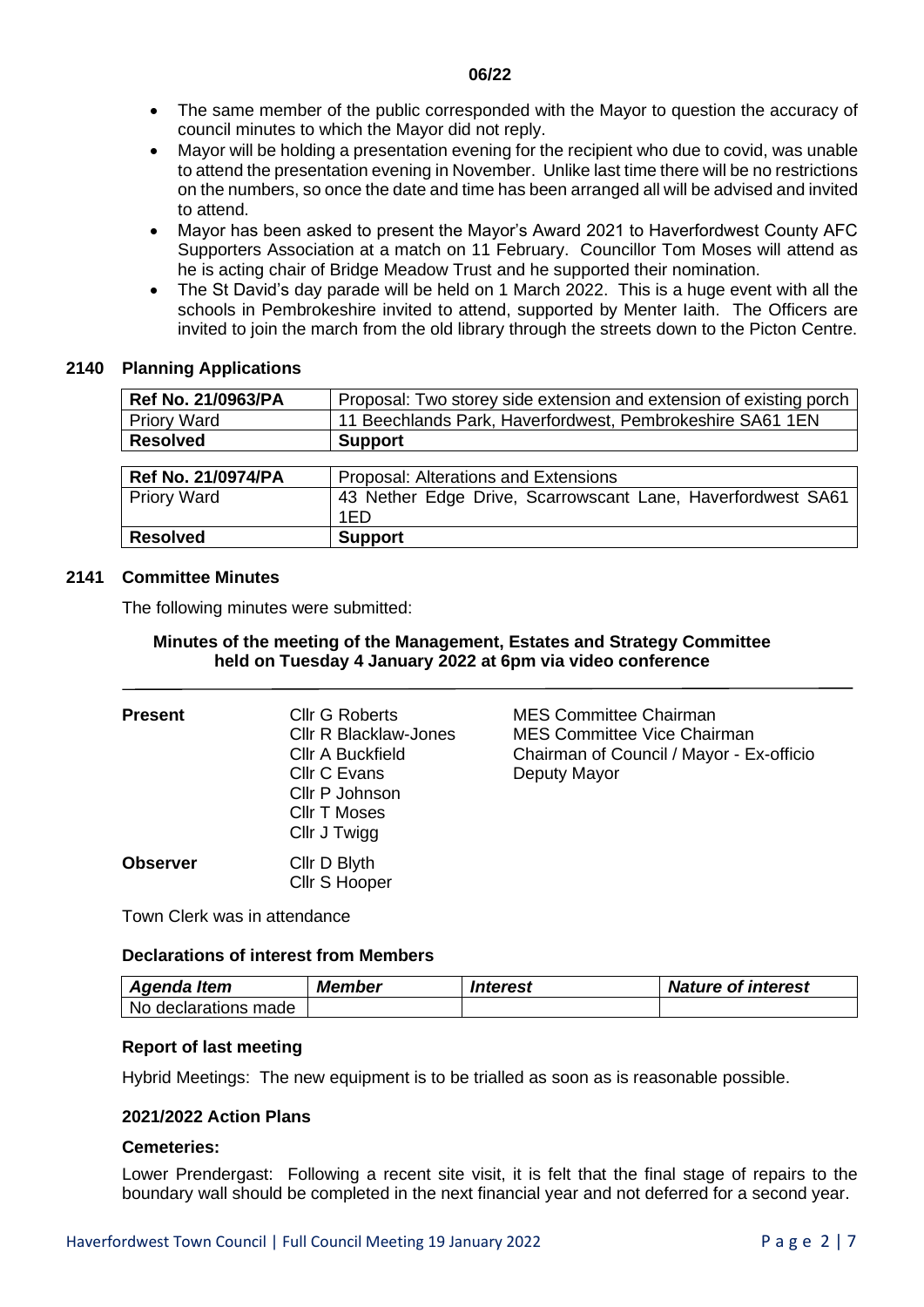- The same member of the public corresponded with the Mayor to question the accuracy of council minutes to which the Mayor did not reply.
- Mayor will be holding a presentation evening for the recipient who due to covid, was unable to attend the presentation evening in November. Unlike last time there will be no restrictions on the numbers, so once the date and time has been arranged all will be advised and invited to attend.
- Mayor has been asked to present the Mayor's Award 2021 to Haverfordwest County AFC Supporters Association at a match on 11 February. Councillor Tom Moses will attend as he is acting chair of Bridge Meadow Trust and he supported their nomination.
- The St David's day parade will be held on 1 March 2022. This is a huge event with all the schools in Pembrokeshire invited to attend, supported by Menter Iaith. The Officers are invited to join the march from the old library through the streets down to the Picton Centre.

# **2140 Planning Applications**

| Ref No. 21/0963/PA        | Proposal: Two storey side extension and extension of existing porch |
|---------------------------|---------------------------------------------------------------------|
| <b>Priory Ward</b>        | 11 Beechlands Park, Haverfordwest, Pembrokeshire SA61 1EN           |
| <b>Resolved</b>           | <b>Support</b>                                                      |
|                           |                                                                     |
| <b>Ref No. 21/0974/PA</b> | Proposal: Alterations and Extensions                                |
| <b>Priory Ward</b>        | 43 Nether Edge Drive, Scarrowscant Lane, Haverfordwest SA61         |
|                           | 1ED                                                                 |
| <b>Resolved</b>           | <b>Support</b>                                                      |

# **2141 Committee Minutes**

The following minutes were submitted:

# **Minutes of the meeting of the Management, Estates and Strategy Committee held on Tuesday 4 January 2022 at 6pm via video conference**

| <b>Present</b>  | <b>Cllr G Roberts</b><br><b>CIIr R Blacklaw-Jones</b><br><b>CIIr A Buckfield</b><br>Cllr C Evans<br>Cllr P Johnson<br><b>CIIr T Moses</b><br>Cllr J Twigg | <b>MES Committee Chairman</b><br><b>MES Committee Vice Chairman</b><br>Chairman of Council / Mayor - Ex-officio<br>Deputy Mayor |
|-----------------|-----------------------------------------------------------------------------------------------------------------------------------------------------------|---------------------------------------------------------------------------------------------------------------------------------|
| <b>Observer</b> | Cllr D Blyth<br>Cllr S Hooper                                                                                                                             |                                                                                                                                 |

Town Clerk was in attendance

## **Declarations of interest from Members**

| Agenda Item              | <b>Member</b> | Interest | <b>Nature of interest</b> |
|--------------------------|---------------|----------|---------------------------|
| -No<br>declarations made |               |          |                           |

# **Report of last meeting**

Hybrid Meetings: The new equipment is to be trialled as soon as is reasonable possible.

# **2021/2022 Action Plans**

# **Cemeteries:**

Lower Prendergast: Following a recent site visit, it is felt that the final stage of repairs to the boundary wall should be completed in the next financial year and not deferred for a second year.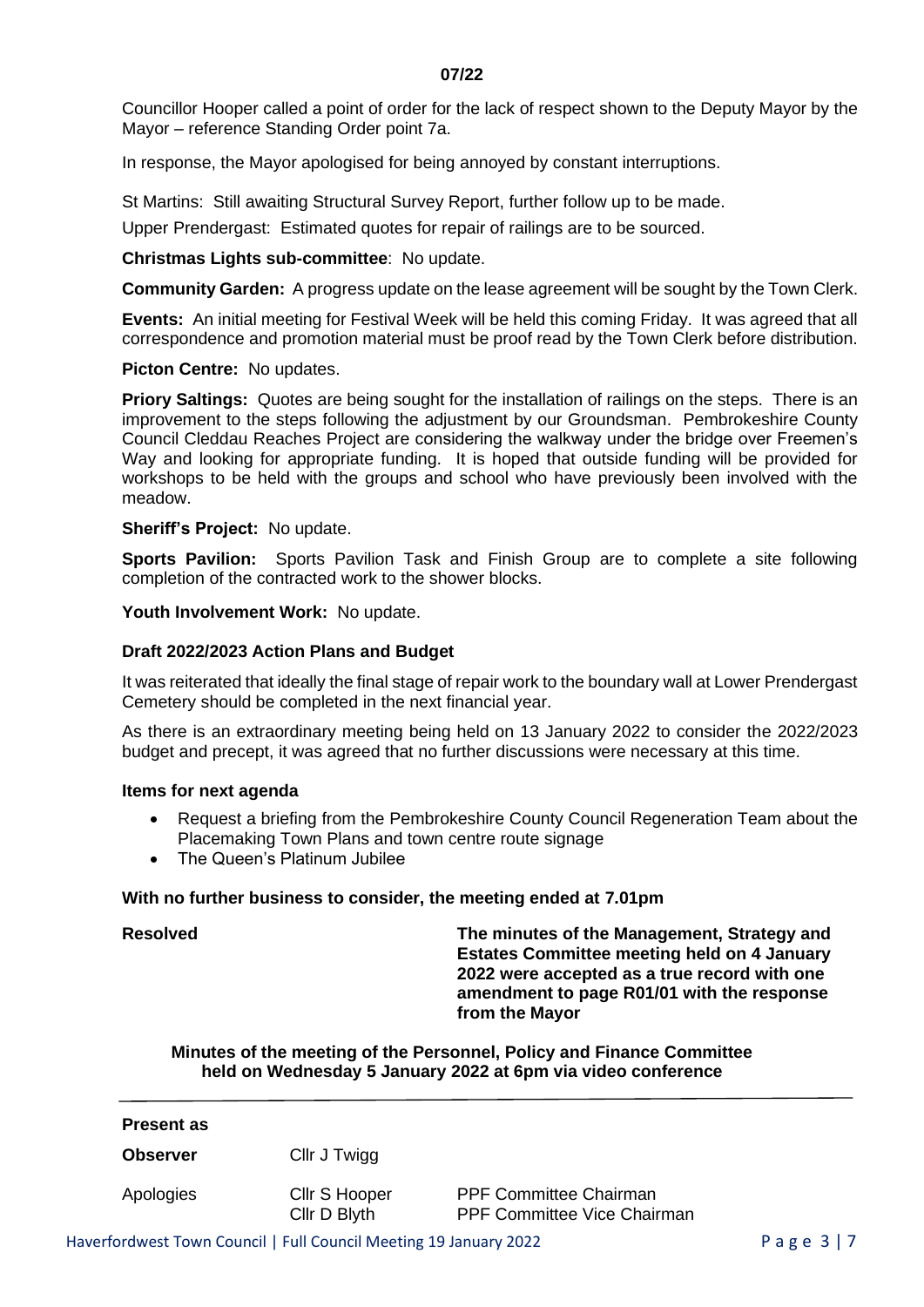Councillor Hooper called a point of order for the lack of respect shown to the Deputy Mayor by the Mayor – reference Standing Order point 7a.

In response, the Mayor apologised for being annoyed by constant interruptions.

St Martins: Still awaiting Structural Survey Report, further follow up to be made.

Upper Prendergast: Estimated quotes for repair of railings are to be sourced.

**Christmas Lights sub-committee**: No update.

**Community Garden:** A progress update on the lease agreement will be sought by the Town Clerk.

**Events:** An initial meeting for Festival Week will be held this coming Friday. It was agreed that all correspondence and promotion material must be proof read by the Town Clerk before distribution.

#### **Picton Centre:** No updates.

**Priory Saltings:** Quotes are being sought for the installation of railings on the steps. There is an improvement to the steps following the adjustment by our Groundsman. Pembrokeshire County Council Cleddau Reaches Project are considering the walkway under the bridge over Freemen's Way and looking for appropriate funding. It is hoped that outside funding will be provided for workshops to be held with the groups and school who have previously been involved with the meadow.

#### **Sheriff's Project:** No update.

**Sports Pavilion:** Sports Pavilion Task and Finish Group are to complete a site following completion of the contracted work to the shower blocks.

Youth Involvement Work: No update.

# **Draft 2022/2023 Action Plans and Budget**

It was reiterated that ideally the final stage of repair work to the boundary wall at Lower Prendergast Cemetery should be completed in the next financial year.

As there is an extraordinary meeting being held on 13 January 2022 to consider the 2022/2023 budget and precept, it was agreed that no further discussions were necessary at this time.

#### **Items for next agenda**

- Request a briefing from the Pembrokeshire County Council Regeneration Team about the Placemaking Town Plans and town centre route signage
- The Queen's Platinum Jubilee

## **With no further business to consider, the meeting ended at 7.01pm**

**Resolved The minutes of the Management, Strategy and Estates Committee meeting held on 4 January 2022 were accepted as a true record with one amendment to page R01/01 with the response from the Mayor**

**Minutes of the meeting of the Personnel, Policy and Finance Committee held on Wednesday 5 January 2022 at 6pm via video conference**

| Cllr J Twigg  |                               |                                    |
|---------------|-------------------------------|------------------------------------|
| Cllr S Hooper | <b>PPF Committee Chairman</b> |                                    |
|               | Cllr D Blyth                  | <b>PPF Committee Vice Chairman</b> |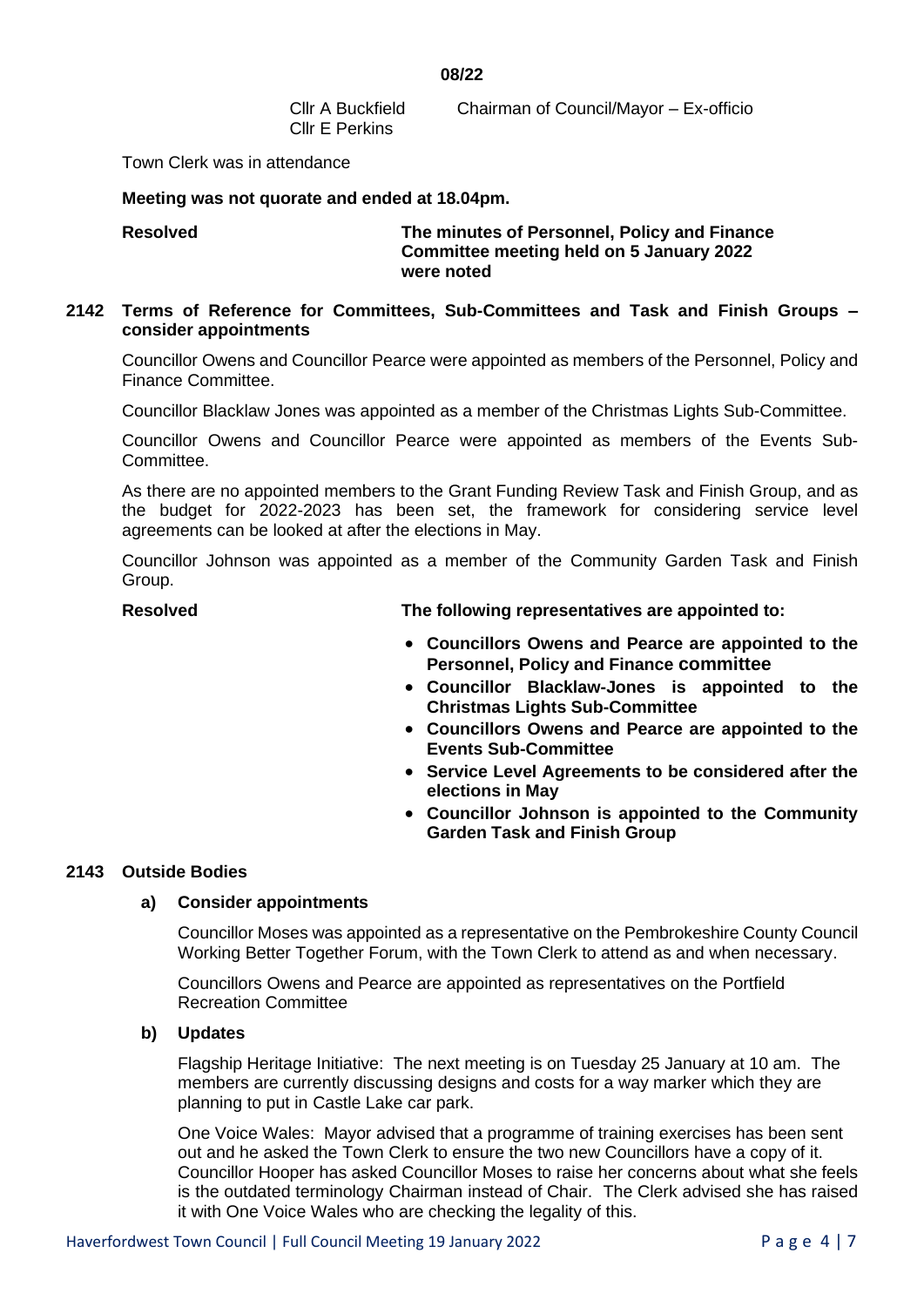**08/22**

Cllr E Perkins

Cllr A Buckfield Chairman of Council/Mayor – Ex-officio

Town Clerk was in attendance

## **Meeting was not quorate and ended at 18.04pm.**

# **Resolved The minutes of Personnel, Policy and Finance Committee meeting held on 5 January 2022 were noted**

# **2142 Terms of Reference for Committees, Sub-Committees and Task and Finish Groups – consider appointments**

Councillor Owens and Councillor Pearce were appointed as members of the Personnel, Policy and Finance Committee.

Councillor Blacklaw Jones was appointed as a member of the Christmas Lights Sub-Committee.

Councillor Owens and Councillor Pearce were appointed as members of the Events Sub-Committee.

As there are no appointed members to the Grant Funding Review Task and Finish Group, and as the budget for 2022-2023 has been set, the framework for considering service level agreements can be looked at after the elections in May.

Councillor Johnson was appointed as a member of the Community Garden Task and Finish Group.

**Resolved The following representatives are appointed to:**

- **Councillors Owens and Pearce are appointed to the Personnel, Policy and Finance committee**
- **Councillor Blacklaw-Jones is appointed to the Christmas Lights Sub-Committee**
- **Councillors Owens and Pearce are appointed to the Events Sub-Committee**
- **Service Level Agreements to be considered after the elections in May**
- **Councillor Johnson is appointed to the Community Garden Task and Finish Group**

# **2143 Outside Bodies**

# **a) Consider appointments**

Councillor Moses was appointed as a representative on the Pembrokeshire County Council Working Better Together Forum, with the Town Clerk to attend as and when necessary.

Councillors Owens and Pearce are appointed as representatives on the Portfield Recreation Committee

## **b) Updates**

Flagship Heritage Initiative: The next meeting is on Tuesday 25 January at 10 am. The members are currently discussing designs and costs for a way marker which they are planning to put in Castle Lake car park.

One Voice Wales: Mayor advised that a programme of training exercises has been sent out and he asked the Town Clerk to ensure the two new Councillors have a copy of it. Councillor Hooper has asked Councillor Moses to raise her concerns about what she feels is the outdated terminology Chairman instead of Chair. The Clerk advised she has raised it with One Voice Wales who are checking the legality of this.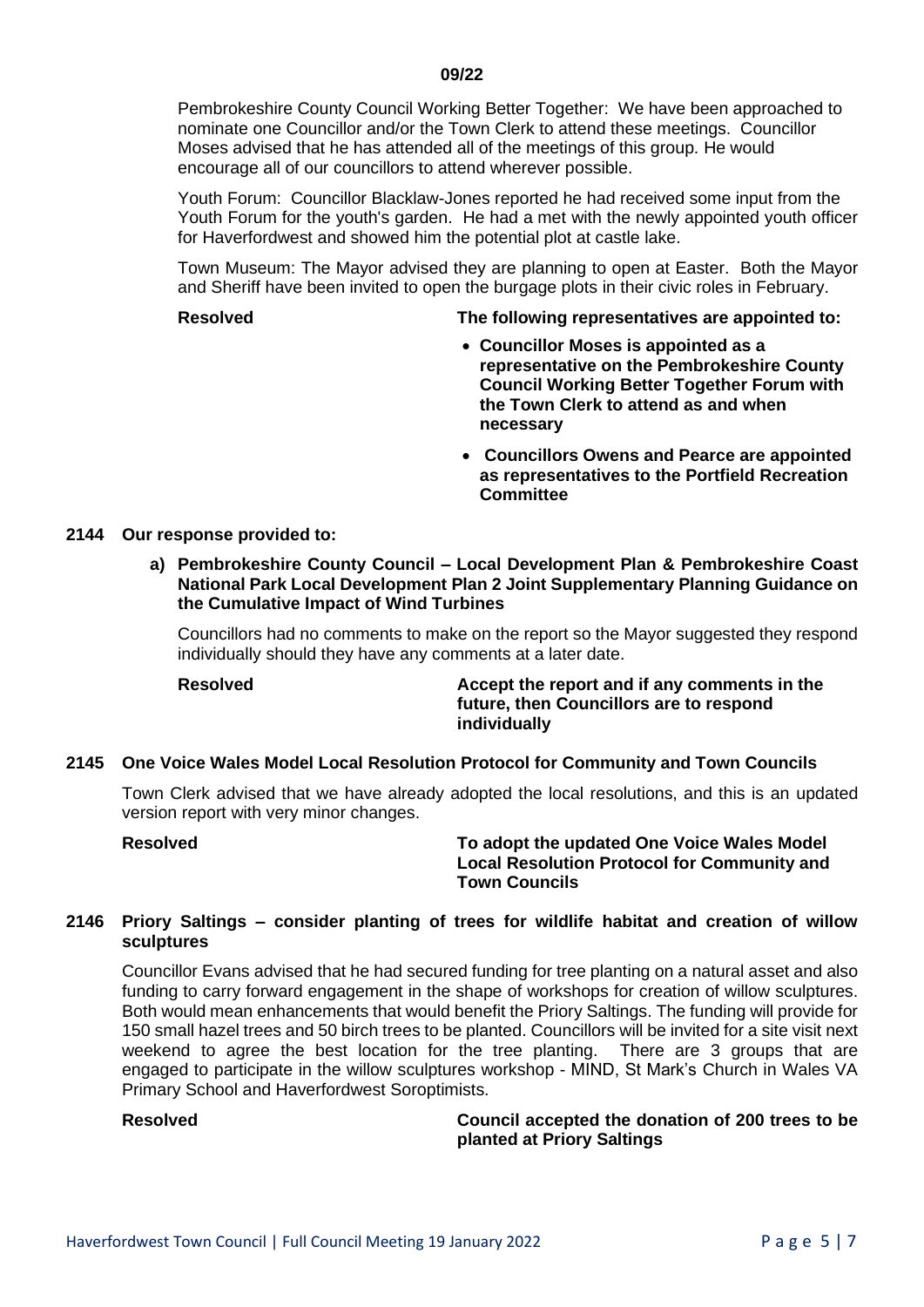Pembrokeshire County Council Working Better Together: We have been approached to nominate one Councillor and/or the Town Clerk to attend these meetings. Councillor Moses advised that he has attended all of the meetings of this group. He would encourage all of our councillors to attend wherever possible.

Youth Forum: Councillor Blacklaw-Jones reported he had received some input from the Youth Forum for the youth's garden. He had a met with the newly appointed youth officer for Haverfordwest and showed him the potential plot at castle lake.

Town Museum: The Mayor advised they are planning to open at Easter. Both the Mayor and Sheriff have been invited to open the burgage plots in their civic roles in February.

#### **Resolved The following representatives are appointed to:**

- **Councillor Moses is appointed as a representative on the Pembrokeshire County Council Working Better Together Forum with the Town Clerk to attend as and when necessary**
- **Councillors Owens and Pearce are appointed as representatives to the Portfield Recreation Committee**

# **2144 Our response provided to:**

**a) Pembrokeshire County Council – Local Development Plan & Pembrokeshire Coast National Park Local Development Plan 2 Joint Supplementary Planning Guidance on the Cumulative Impact of Wind Turbines**

Councillors had no comments to make on the report so the Mayor suggested they respond individually should they have any comments at a later date.

**Resolved Accept the report and if any comments in the future, then Councillors are to respond individually**

## **2145 One Voice Wales Model Local Resolution Protocol for Community and Town Councils**

Town Clerk advised that we have already adopted the local resolutions, and this is an updated version report with very minor changes.

**Resolved To adopt the updated One Voice Wales Model Local Resolution Protocol for Community and Town Councils**

# **2146 Priory Saltings – consider planting of trees for wildlife habitat and creation of willow sculptures**

Councillor Evans advised that he had secured funding for tree planting on a natural asset and also funding to carry forward engagement in the shape of workshops for creation of willow sculptures. Both would mean enhancements that would benefit the Priory Saltings. The funding will provide for 150 small hazel trees and 50 birch trees to be planted. Councillors will be invited for a site visit next weekend to agree the best location for the tree planting. There are 3 groups that are engaged to participate in the willow sculptures workshop - MIND, St Mark's Church in Wales VA Primary School and Haverfordwest Soroptimists.

**Resolved Council accepted the donation of 200 trees to be planted at Priory Saltings**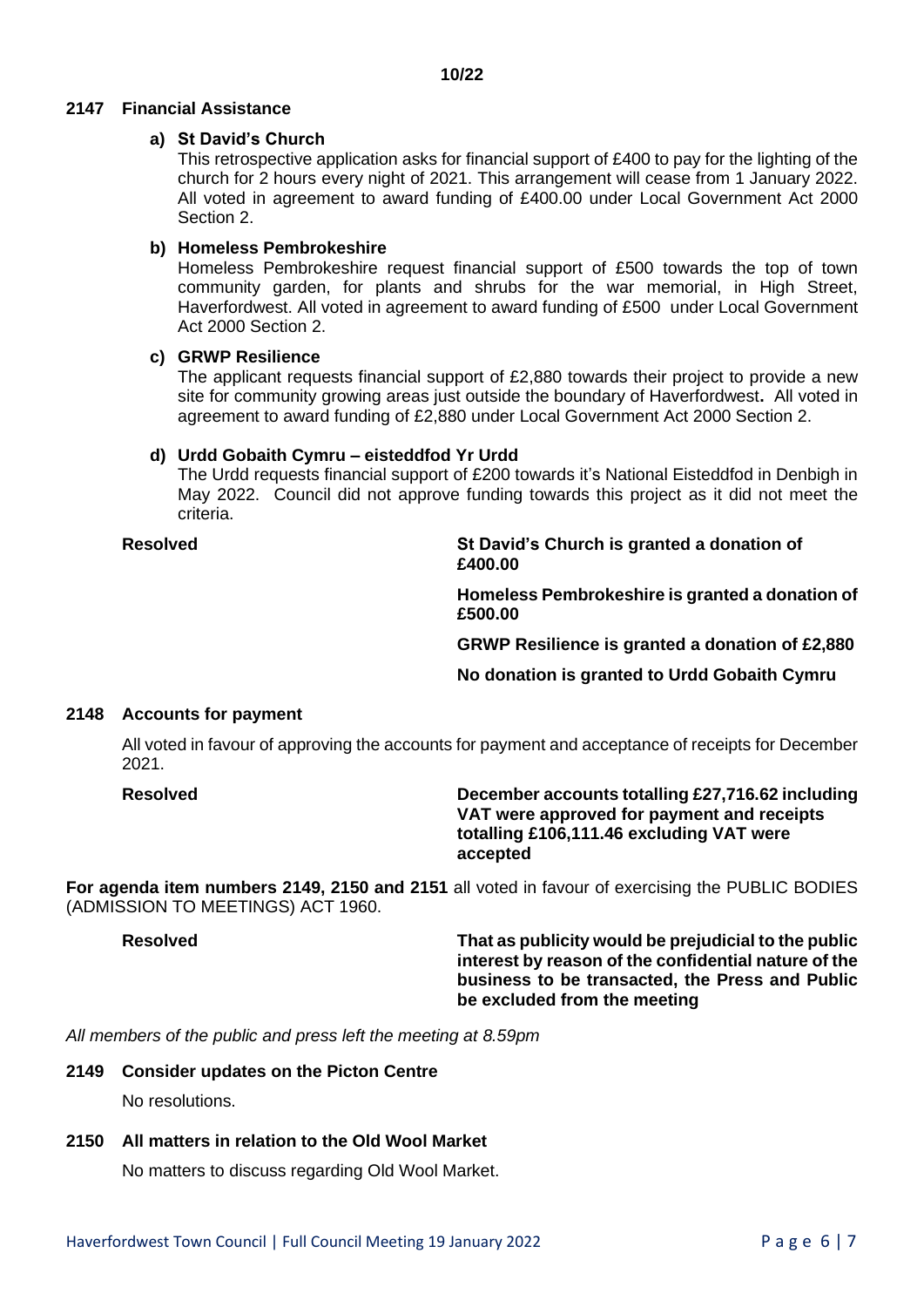# **2147 Financial Assistance**

# **a) St David's Church**

This retrospective application asks for financial support of £400 to pay for the lighting of the church for 2 hours every night of 2021. This arrangement will cease from 1 January 2022. All voted in agreement to award funding of £400.00 under Local Government Act 2000 Section 2.

# **b) Homeless Pembrokeshire**

Homeless Pembrokeshire request financial support of £500 towards the top of town community garden, for plants and shrubs for the war memorial, in High Street, Haverfordwest. All voted in agreement to award funding of £500 under Local Government Act 2000 Section 2.

# **c) GRWP Resilience**

The applicant requests financial support of £2,880 towards their project to provide a new site for community growing areas just outside the boundary of Haverfordwest**.** All voted in agreement to award funding of £2,880 under Local Government Act 2000 Section 2.

# **d) Urdd Gobaith Cymru – eisteddfod Yr Urdd**

The Urdd requests financial support of £200 towards it's National Eisteddfod in Denbigh in May 2022. Council did not approve funding towards this project as it did not meet the criteria.

**Resolved St David's Church is granted a donation of £400.00**

> **Homeless Pembrokeshire is granted a donation of £500.00**

> **GRWP Resilience is granted a donation of £2,880**

**No donation is granted to Urdd Gobaith Cymru**

## **2148 Accounts for payment**

All voted in favour of approving the accounts for payment and acceptance of receipts for December 2021.

**Resolved December accounts totalling £27,716.62 including VAT were approved for payment and receipts totalling £106,111.46 excluding VAT were accepted**

**For agenda item numbers 2149, 2150 and 2151** all voted in favour of exercising the PUBLIC BODIES (ADMISSION TO MEETINGS) ACT 1960.

**Resolved That as publicity would be prejudicial to the public interest by reason of the confidential nature of the business to be transacted, the Press and Public be excluded from the meeting**

*All members of the public and press left the meeting at 8.59pm*

## **2149 Consider updates on the Picton Centre**

No resolutions.

# **2150 All matters in relation to the Old Wool Market**

No matters to discuss regarding Old Wool Market.